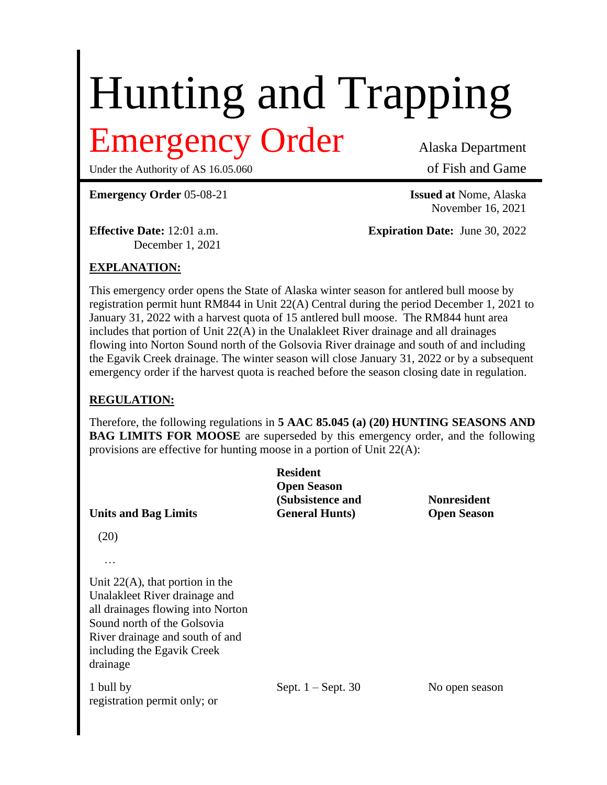# Hunting and Trapping

## Emergency Order Alaska Department

Under the Authority of AS 16.05.060 of Fish and Game

**Emergency Order** 05-08-21 **Issued at** Nome, Alaska

December 1, 2021

November 16, 2021

**Effective Date:** 12:01 a.m. **Expiration Date:** June 30, 2022

### **EXPLANATION:**

This emergency order opens the State of Alaska winter season for antlered bull moose by registration permit hunt RM844 in Unit 22(A) Central during the period December 1, 2021 to January 31, 2022 with a harvest quota of 15 antlered bull moose. The RM844 hunt area includes that portion of Unit 22(A) in the Unalakleet River drainage and all drainages flowing into Norton Sound north of the Golsovia River drainage and south of and including the Egavik Creek drainage. The winter season will close January 31, 2022 or by a subsequent emergency order if the harvest quota is reached before the season closing date in regulation.

#### **REGULATION:**

Therefore, the following regulations in **5 AAC 85.045 (a) (20) HUNTING SEASONS AND BAG LIMITS FOR MOOSE** are superseded by this emergency order, and the following provisions are effective for hunting moose in a portion of Unit 22(A):

| <b>Units and Bag Limits</b>                                                                                                                                                                                               | <b>Resident</b><br><b>Open Season</b><br>(Subsistence and<br><b>General Hunts</b> ) | <b>Nonresident</b><br><b>Open Season</b> |
|---------------------------------------------------------------------------------------------------------------------------------------------------------------------------------------------------------------------------|-------------------------------------------------------------------------------------|------------------------------------------|
| (20)                                                                                                                                                                                                                      |                                                                                     |                                          |
| .<br>Unit $22(A)$ , that portion in the<br>Unalakleet River drainage and<br>all drainages flowing into Norton<br>Sound north of the Golsovia<br>River drainage and south of and<br>including the Egavik Creek<br>drainage |                                                                                     |                                          |
| 1 bull by<br>registration permit only; or                                                                                                                                                                                 | Sept. $1 -$ Sept. 30                                                                | No open season                           |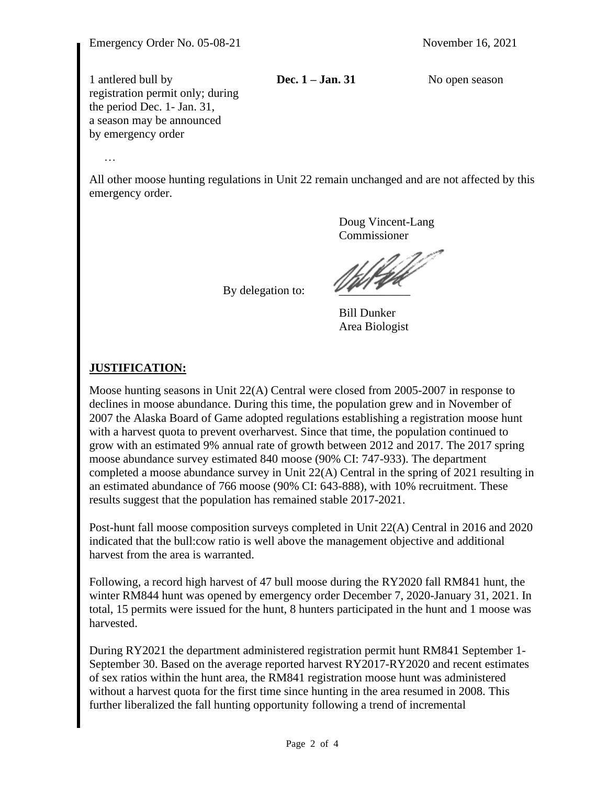1 antlered bull by **Dec. 1 – Jan. 31** No open season registration permit only; during the period Dec. 1- Jan. 31, a season may be announced by emergency order

…

All other moose hunting regulations in Unit 22 remain unchanged and are not affected by this emergency order.

By delegation to:

Doug Vincent-Lang Commissioner

Bill Dunker Area Biologist

#### **JUSTIFICATION:**

Moose hunting seasons in Unit 22(A) Central were closed from 2005-2007 in response to declines in moose abundance. During this time, the population grew and in November of 2007 the Alaska Board of Game adopted regulations establishing a registration moose hunt with a harvest quota to prevent overharvest. Since that time, the population continued to grow with an estimated 9% annual rate of growth between 2012 and 2017. The 2017 spring moose abundance survey estimated 840 moose (90% CI: 747-933). The department completed a moose abundance survey in Unit 22(A) Central in the spring of 2021 resulting in an estimated abundance of 766 moose (90% CI: 643-888), with 10% recruitment. These results suggest that the population has remained stable 2017-2021.

Post-hunt fall moose composition surveys completed in Unit 22(A) Central in 2016 and 2020 indicated that the bull:cow ratio is well above the management objective and additional harvest from the area is warranted.

Following, a record high harvest of 47 bull moose during the RY2020 fall RM841 hunt, the winter RM844 hunt was opened by emergency order December 7, 2020-January 31, 2021. In total, 15 permits were issued for the hunt, 8 hunters participated in the hunt and 1 moose was harvested.

During RY2021 the department administered registration permit hunt RM841 September 1- September 30. Based on the average reported harvest RY2017-RY2020 and recent estimates of sex ratios within the hunt area, the RM841 registration moose hunt was administered without a harvest quota for the first time since hunting in the area resumed in 2008. This further liberalized the fall hunting opportunity following a trend of incremental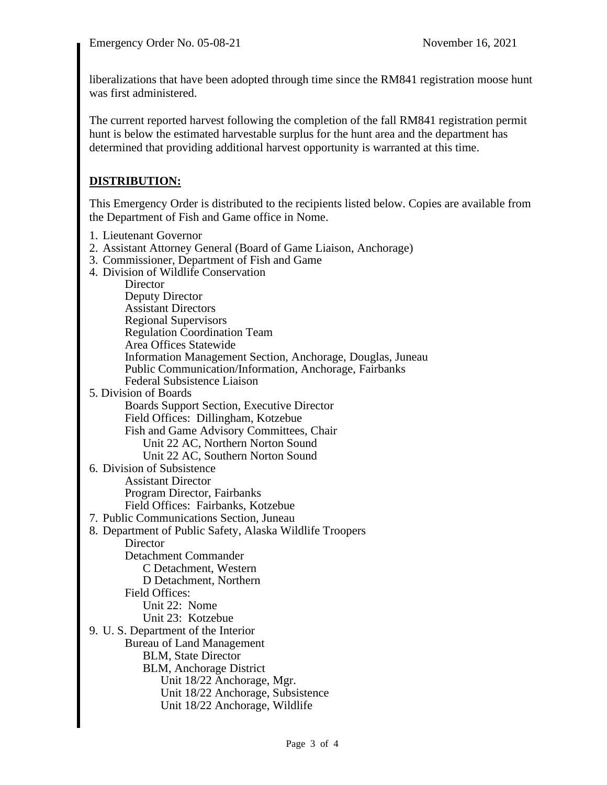liberalizations that have been adopted through time since the RM841 registration moose hunt was first administered.

The current reported harvest following the completion of the fall RM841 registration permit hunt is below the estimated harvestable surplus for the hunt area and the department has determined that providing additional harvest opportunity is warranted at this time.

#### **DISTRIBUTION:**

This Emergency Order is distributed to the recipients listed below. Copies are available from the Department of Fish and Game office in Nome.

- 1. Lieutenant Governor
- 2. Assistant Attorney General (Board of Game Liaison, Anchorage)
- 3. Commissioner, Department of Fish and Game
- 4. Division of Wildlife Conservation

**Director** Deputy Director Assistant Directors Regional Supervisors Regulation Coordination Team Area Offices Statewide Information Management Section, Anchorage, Douglas, Juneau Public Communication/Information, Anchorage, Fairbanks Federal Subsistence Liaison 5. Division of Boards Boards Support Section, Executive Director Field Offices: Dillingham, Kotzebue Fish and Game Advisory Committees, Chair Unit 22 AC, Northern Norton Sound Unit 22 AC, Southern Norton Sound 6. Division of Subsistence Assistant Director Program Director, Fairbanks Field Offices: Fairbanks, Kotzebue 7. Public Communications Section, Juneau 8. Department of Public Safety, Alaska Wildlife Troopers **Director** Detachment Commander C Detachment, Western D Detachment, Northern Field Offices: Unit 22: Nome Unit 23: Kotzebue 9. U. S. Department of the Interior Bureau of Land Management BLM, State Director BLM, Anchorage District Unit 18/22 Anchorage, Mgr. Unit 18/22 Anchorage, Subsistence Unit 18/22 Anchorage, Wildlife